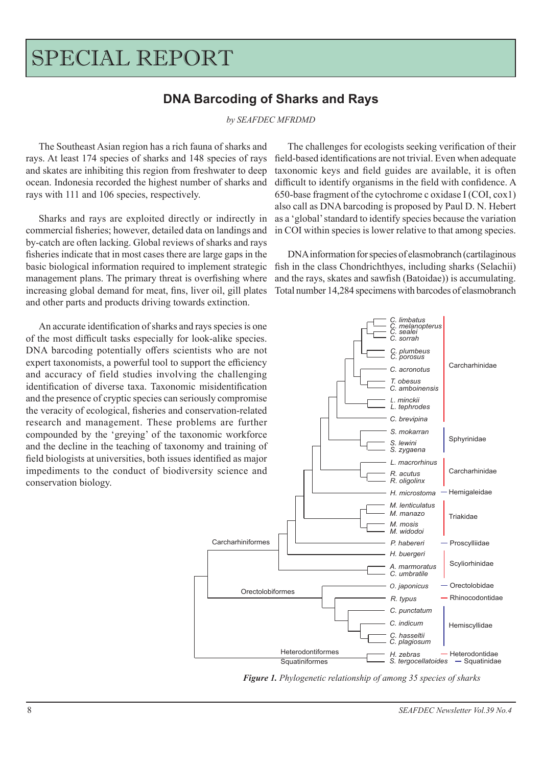## SPECIAL REPORT

## **DNA Barcoding of Sharks and Rays**

*by SEAFDEC MFRDMD*

The Southeast Asian region has a rich fauna of sharks and rays. At least 174 species of sharks and 148 species of rays and skates are inhibiting this region from freshwater to deep ocean. Indonesia recorded the highest number of sharks and rays with 111 and 106 species, respectively.

Sharks and rays are exploited directly or indirectly in commercial fisheries; however, detailed data on landings and by-catch are often lacking. Global reviews of sharks and rays fisheries indicate that in most cases there are large gaps in the basic biological information required to implement strategic management plans. The primary threat is overfishing where increasing global demand for meat, fins, liver oil, gill plates and other parts and products driving towards extinction.

An accurate identification of sharks and rays species is one of the most difficult tasks especially for look-alike species. DNA barcoding potentially offers scientists who are not expert taxonomists, a powerful tool to support the efficiency and accuracy of field studies involving the challenging identification of diverse taxa. Taxonomic misidentification and the presence of cryptic species can seriously compromise the veracity of ecological, fisheries and conservation-related research and management. These problems are further compounded by the 'greying' of the taxonomic workforce and the decline in the teaching of taxonomy and training of field biologists at universities, both issues identified as major impediments to the conduct of biodiversity science and conservation biology.

The challenges for ecologists seeking verification of their field-based identifications are not trivial. Even when adequate taxonomic keys and field guides are available, it is often difficult to identify organisms in the field with confidence. A 650-base fragment of the cytochrome c oxidase I (COI, cox1) also call as DNA barcoding is proposed by Paul D. N. Hebert as a 'global' standard to identify species because the variation in COI within species is lower relative to that among species.

DNA information for species of elasmobranch (cartilaginous fish in the class Chondrichthyes, including sharks (Selachii) and the rays, skates and sawfish (Batoidae)) is accumulating. Total number 14,284 specimens with barcodes of elasmobranch



*Figure 1. Phylogenetic relationship of among 35 species of sharks*